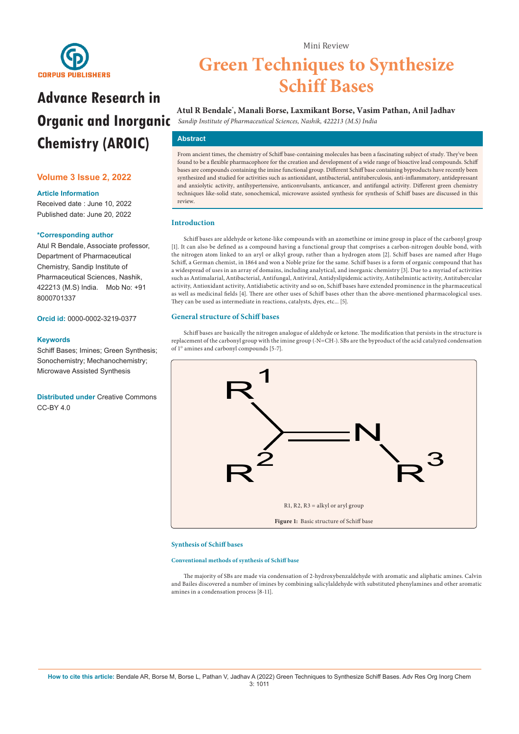

# **Advance Research in Organic and Inorganic**   *Sandip Institute of Pharmaceutical Sciences, Nashik, 422213 (M.S) India* **Chemistry (AROIC)**

# **Volume 3 Issue 2, 2022**

## **Article Information**

Received date : June 10, 2022 Published date: June 20, 2022

## **\*Corresponding author**

Atul R Bendale, Associate professor, Department of Pharmaceutical Chemistry, Sandip Institute of Pharmaceutical Sciences, Nashik, 422213 (M.S) India. Mob No: +91 8000701337

**Orcid id:** 0000-0002-3219-0377

## **Keywords**

Schiff Bases; Imines; Green Synthesis; Sonochemistry; Mechanochemistry; Microwave Assisted Synthesis

**Distributed under** [Creative Commons](https://creativecommons.org/licenses/by/4.0/)   $CC-BY 4.0$ 

# **Green Techniques to Synthesize Schiff Bases**

Mini Review

# **Atul R Bendale\* , Manali Borse, Laxmikant Borse, Vasim Pathan, Anil Jadhav**

# **Abstract**

From ancient times, the chemistry of Schiff base-containing molecules has been a fascinating subject of study. They've been found to be a flexible pharmacophore for the creation and development of a wide range of bioactive lead compounds. Schiff bases are compounds containing the imine functional group. Different Schiff base containing byproducts have recently been synthesized and studied for activities such as antioxidant, antibacterial, antituberculosis, anti-inflammatory, antidepressant and anxiolytic activity, antihypertensive, anticonvulsants, anticancer, and antifungal activity. Different green chemistry techniques like-solid state, sonochemical, microwave assisted synthesis for synthesis of Schiff bases are discussed in this review.

# **Introduction**

Schiff bases are aldehyde or ketone-like compounds with an azomethine or imine group in place of the carbonyl group [1]. It can also be defined as a compound having a functional group that comprises a carbon-nitrogen double bond, with the nitrogen atom linked to an aryl or alkyl group, rather than a hydrogen atom [2]. Schiff bases are named after Hugo Schiff, a German chemist, in 1864 and won a Noble prize for the same. Schiff bases is a form of organic compound that has a widespread of uses in an array of domains, including analytical, and inorganic chemistry [3]. Due to a myriad of activities such as Antimalarial, Antibacterial, Antifungal, Antiviral, Antidyslipidemic activity, Antihelmintic activity, Antitubercular activity, Antioxidant activity, Antidiabetic activity and so on, Schiff bases have extended prominence in the pharmaceutical as well as medicinal fields [4]. There are other uses of Schiff bases other than the above-mentioned pharmacological uses. They can be used as intermediate in reactions, catalysts, dyes, etc... [5].

#### **General structure of Schiff bases**

Schiff bases are basically the nitrogen analogue of aldehyde or ketone. The modification that persists in the structure is replacement of the carbonyl group with the imine group (-N=CH-). SBs are the byproduct of the acid catalyzed condensation of 1° amines and carbonyl compounds [5-7].



#### **Synthesis of Schiff bases**

**Conventional methods of synthesis of Schiff base**

The majority of SBs are made via condensation of 2-hydroxybenzaldehyde with aromatic and aliphatic amines. Calvin and Bailes discovered a number of imines by combining salicylaldehyde with substituted phenylamines and other aromatic amines in a condensation process [8-11].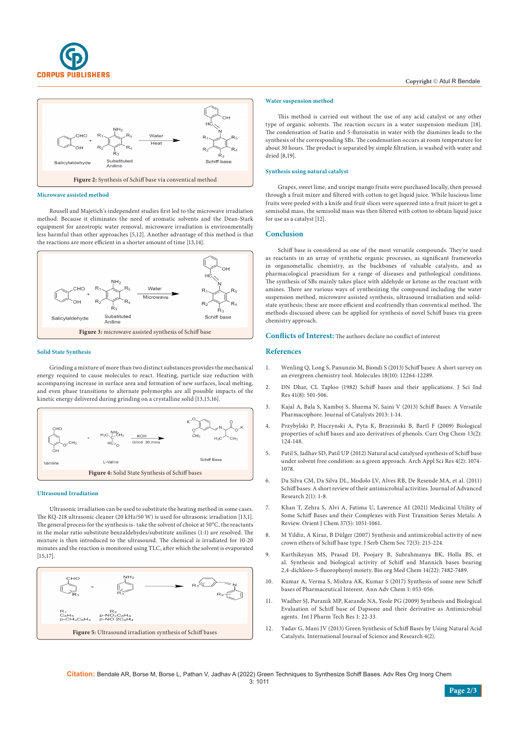



#### **Microwave assisted method**

Rousell and Majetich's independent studies first led to the microwave irradiation method. Because it eliminates the need of aromatic solvents and the Dean-Stark equipment for azeotropic water removal, microwave irradiation is environmentally less harmful than other approaches [5,12]. Another advantage of this method is that the reactions are more efficient in a shorter amount of time [13,14].



#### **Solid State Synthesis**

Grinding a mixture of more than two distinct substances provides the mechanical energy required to cause molecules to react. Heating, particle size reduction with accompanying increase in surface area and formation of new surfaces, local melting, and even phase transitions to alternate polymorphs are all possible impacts of the kinetic energy delivered during grinding on a crystalline solid [13,15,16].



#### **Ultrasound Irradiation**

Ultrasonic irradiation can be used to substitute the heating method in some cases. The KQ-218 ultrasonic cleaner (20 kHz/50 W) is used for ultrasonic irradiation [13,1]. The general process for the synthesis is- take the solvent of choice at 50°C, the reactants in the molar ratio substitute benzaldehydes/substitute anilines (1:1) are resolved. The mixture is then introduced to the ultrasound. The chemical is irradiated for 10-20 minutes and the reaction is monitored using TLC, after which the solvent is evaporated [15,17].



### **Water suspension method**

This method is carried out without the use of any acid catalyst or any other type of organic solvents. The reaction occurs in a water suspension medium [18]. The condensation of Isatin and 5-fluroisatin in water with the diamines leads to the synthesis of the corresponding SBs. The condensation occurs at room temperature for about 30 hours. The product is separated by simple filtration, is washed with water and dried [8,19].

#### **Synthesis using natural catalyst**

Grapes, sweet lime, and unripe mango fruits were purchased locally, then pressed through a fruit mixer and filtered with cotton to get liquid juice. While luscious lime fruits were peeled with a knife and fruit slices were squeezed into a fruit juicer to get a semisolid mass, the semisolid mass was then filtered with cotton to obtain liquid juice for use as a catalyst [12].

#### **Conclusion**

Schiff base is considered as one of the most versatile compounds. They're used as reactants in an array of synthetic organic processes, as significant frameworks in organometallic chemistry, as the backbones of valuable catalysts, and as pharmacological praesidium for a range of diseases and pathological conditions. The synthesis of SBs mainly takes place with aldehyde or ketone as the reactant with amines. There are various ways of synthesizing the compound including the water suspension method, microwave assisted synthesis, ultrasound irradiation and solidstate synthesis; these are more efficient and ecofriendly than conventical method. The methods discussed above can be applied for synthesis of novel Schiff bases via green chemistry approach.

#### **Conflicts of Interest:** The authors declare no conflict of interest

## **References**

- 1. [Wenling Q, Long S, Panunzio M, Biondi S \(2013\) Schiff bases: A short survey on](https://www.mdpi.com/1420-3049/18/10/12264)  [an evergreen chemistry tool. Molecules 18\(10\): 12264-12289.](https://www.mdpi.com/1420-3049/18/10/12264)
- 2. DN Dhar, CL Taploo (1982) Schiff bases and their applications. J Sci Ind Res 41(8): 501-506.
- 3. [Kajal A, Bala S, Kamboj S, Sharma N, Saini V \(2013\) Schiff Bases: A Versatile](https://www.hindawi.com/journals/jcat/2013/893512/)  [Pharmacophore. Journal of Catalysts 2013: 1-14.](https://www.hindawi.com/journals/jcat/2013/893512/)
- 4. [Przybylski P, Huczynski A, Pyta K, Brzezinski B, Bartl F \(2009\) Biological](http://www.eurekaselect.com/article/13434)  [properties of schiff bases and azo derivatives of phenols. Curr Org Chem](http://www.eurekaselect.com/article/13434) 13(2): [124-148.](http://www.eurekaselect.com/article/13434)
- 5. [Patil S, Jadhav SD, Patil UP \(2012\) Natural acid catalysed synthesis of Schiff base](https://www.scholarsresearchlibrary.com/articles/natural-acid-catalyzed-synthesis-of-schiff-base-under-solventfree-condition-as-a-green-approach.pdf)  [under solvent free condition: as a green approach. Arch Appl Sci Res 4\(2\): 1074-](https://www.scholarsresearchlibrary.com/articles/natural-acid-catalyzed-synthesis-of-schiff-base-under-solventfree-condition-as-a-green-approach.pdf) [1078.](https://www.scholarsresearchlibrary.com/articles/natural-acid-catalyzed-synthesis-of-schiff-base-under-solventfree-condition-as-a-green-approach.pdf)
- 6. [Da Silva CM, Da Silva DL, Modolo LV, Alves RB, De Resende MA, et al. \(2011\)](https://www.sciencedirect.com/science/article/pii/S2090123210000603?via%3Dihub)  [Schiff bases: A short review of their antimicrobial activities. Journal of Advanced](https://www.sciencedirect.com/science/article/pii/S2090123210000603?via%3Dihub)  [Research 2\(1\): 1-8.](https://www.sciencedirect.com/science/article/pii/S2090123210000603?via%3Dihub)
- 7. [Khan T, Zehra S, Alvi A, Fatima U, Lawrence AI \(2021\) Medicinal Utility of](C://Users/Lenovo/Downloads/OJC_Vol37_No5_p_1051-1061.pdf)  [Some Schiff Bases and their Complexes with First Transition Series Metals: A](C://Users/Lenovo/Downloads/OJC_Vol37_No5_p_1051-1061.pdf)  [Review. Orient J Chem 37\(5\): 1051-1061.](C://Users/Lenovo/Downloads/OJC_Vol37_No5_p_1051-1061.pdf)
- 8. M Yildiz, A Kiraz, B Dülger (2007) Synthesis and antimicrobial activity of new crown ethers of Schiff base type. J Serb Chem Soc 72(3): 215-224.
- 9. [Karthikeyan MS, Prasad DJ, Poojary B, Subrahmanya BK, Holla BS, et](https://pubmed.ncbi.nlm.nih.gov/16879972/)  [al. Synthesis and biological activity of Schiff and Mannich bases bearing](https://pubmed.ncbi.nlm.nih.gov/16879972/)  [2,4-dichloro-5-fluorophenyl moiety. Bio org Med Chem 14\(22\): 7482-7489.](https://pubmed.ncbi.nlm.nih.gov/16879972/)
- 10. [Kumar A, Verma S, Mishra AK, Kumar S \(2017\) Synthesis of some new Schiff](https://www.heighpubs.org/hjc/aac-aid1006.php)  [bases of Pharmaceutical Interest. Ann Adv Chem 1: 053-056.](https://www.heighpubs.org/hjc/aac-aid1006.php)
- 11. [Wadher SJ, Puranik MP, Karande NA, Yeole PG \(2009\) Synthesis and Biological](https://scirp.org/reference/referencespapers.aspx?referenceid=1681554)  [Evaluation of Schiff base of Dapsone and their derivative as Antimicrobial](https://scirp.org/reference/referencespapers.aspx?referenceid=1681554)  [agents. Int J Pharm Tech Res 1: 22-33.](https://scirp.org/reference/referencespapers.aspx?referenceid=1681554)
- 12. [Yadav G, Mani JV \(2013\) Green Synthesis of Schiff Bases by Using Natural Acid](https://www.ijsr.net/archive/v4i2/SUB15837.pdf)  [Catalysts. International Journal of Science and Research 4\(2\).](https://www.ijsr.net/archive/v4i2/SUB15837.pdf)